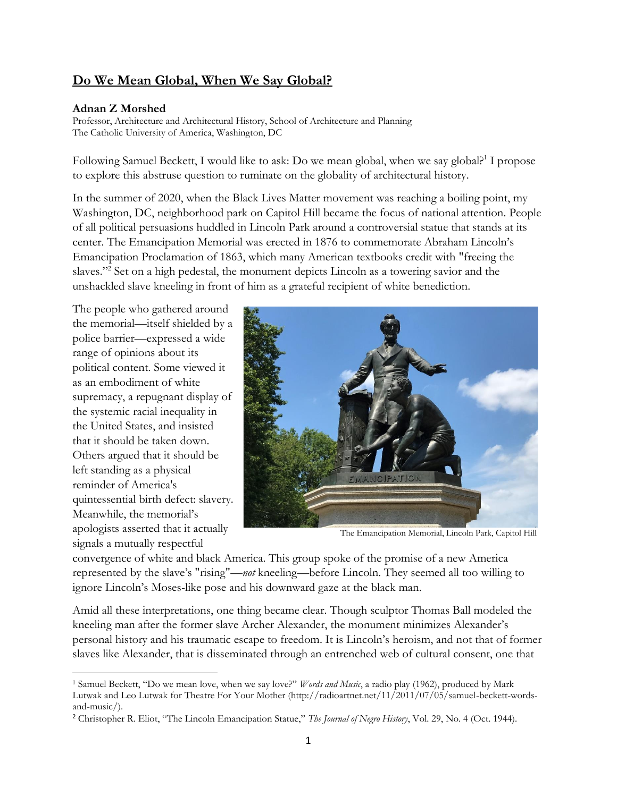# **Do We Mean Global, When We Say Global?**

## **Adnan Z Morshed**

Professor, Architecture and Architectural History, School of Architecture and Planning The Catholic University of America, Washington, DC

Following Samuel Beckett, I would like to ask: Do we mean global, when we say global?<sup>1</sup> I propose to explore this abstruse question to ruminate on the globality of architectural history.

In the summer of 2020, when the Black Lives Matter movement was reaching a boiling point, my Washington, DC, neighborhood park on Capitol Hill became the focus of national attention. People of all political persuasions huddled in Lincoln Park around a controversial statue that stands at its center. The Emancipation Memorial was erected in 1876 to commemorate Abraham Lincoln's Emancipation Proclamation of 1863, which many American textbooks credit with "freeing the slaves."<sup>2</sup> Set on a high pedestal, the monument depicts Lincoln as a towering savior and the unshackled slave kneeling in front of him as a grateful recipient of white benediction.

The people who gathered around the memorial—itself shielded by a police barrier—expressed a wide range of opinions about its political content. Some viewed it as an embodiment of white supremacy, a repugnant display of the systemic racial inequality in the United States, and insisted that it should be taken down. Others argued that it should be left standing as a physical reminder of America's quintessential birth defect: slavery. Meanwhile, the memorial's apologists asserted that it actually signals a mutually respectful



The Emancipation Memorial, Lincoln Park, Capitol Hill

convergence of white and black America. This group spoke of the promise of a new America represented by the slave's "rising"—*not* kneeling—before Lincoln. They seemed all too willing to ignore Lincoln's Moses-like pose and his downward gaze at the black man.

Amid all these interpretations, one thing became clear. Though sculptor Thomas Ball modeled the kneeling man after the former slave Archer Alexander, the monument minimizes Alexander's personal history and his traumatic escape to freedom. It is Lincoln's heroism, and not that of former slaves like Alexander, that is disseminated through an entrenched web of cultural consent, one that

<sup>1</sup> Samuel Beckett, "Do we mean love, when we say love?" *Words and Music*, a radio play (1962), produced by Mark Lutwak and Leo Lutwak for Theatre For Your Mother (http://radioartnet.net/11/2011/07/05/samuel-beckett-wordsand-music/).

<sup>2</sup> Christopher R. Eliot, "The Lincoln Emancipation Statue," *The Journal of Negro History*, Vol. 29, No. 4 (Oct. 1944).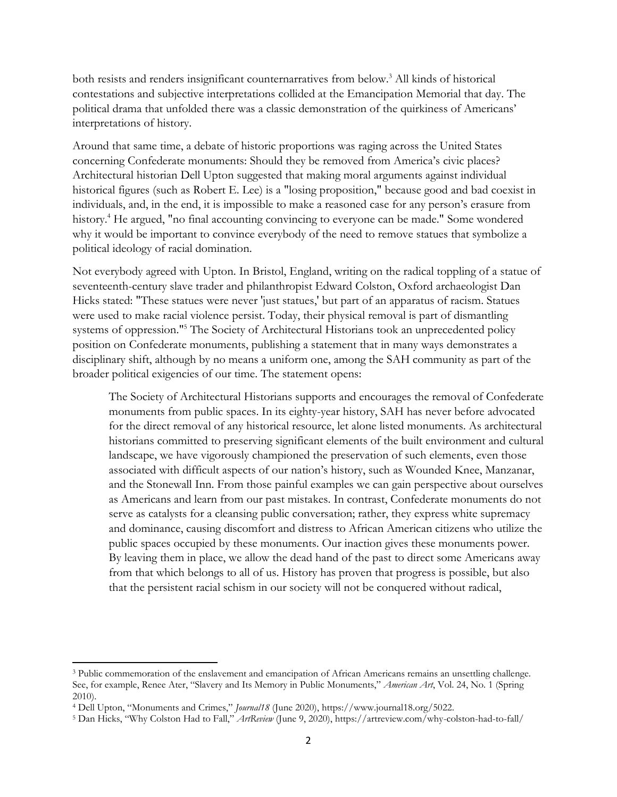both resists and renders insignificant counternarratives from below.<sup>3</sup> All kinds of historical contestations and subjective interpretations collided at the Emancipation Memorial that day. The political drama that unfolded there was a classic demonstration of the quirkiness of Americans' interpretations of history.

Around that same time, a debate of historic proportions was raging across the United States concerning Confederate monuments: Should they be removed from America's civic places? Architectural historian Dell Upton suggested that making moral arguments against individual historical figures (such as Robert E. Lee) is a "losing proposition," because good and bad coexist in individuals, and, in the end, it is impossible to make a reasoned case for any person's erasure from history.<sup>4</sup> He argued, "no final accounting convincing to everyone can be made." Some wondered why it would be important to convince everybody of the need to remove statues that symbolize a political ideology of racial domination.

Not everybody agreed with Upton. In Bristol, England, writing on the radical toppling of a statue of seventeenth-century slave trader and philanthropist Edward Colston, Oxford archaeologist Dan Hicks stated: "These statues were never 'just statues,' but part of an apparatus of racism. Statues were used to make racial violence persist. Today, their physical removal is part of dismantling systems of oppression."<sup>5</sup> The Society of Architectural Historians took an unprecedented policy position on Confederate monuments, publishing a statement that in many ways demonstrates a disciplinary shift, although by no means a uniform one, among the SAH community as part of the broader political exigencies of our time. The statement opens:

The Society of Architectural Historians supports and encourages the removal of Confederate monuments from public spaces. In its eighty-year history, SAH has never before advocated for the direct removal of any historical resource, let alone listed monuments. As architectural historians committed to preserving significant elements of the built environment and cultural landscape, we have vigorously championed the preservation of such elements, even those associated with difficult aspects of our nation's history, such as Wounded Knee, Manzanar, and the Stonewall Inn. From those painful examples we can gain perspective about ourselves as Americans and learn from our past mistakes. In contrast, Confederate monuments do not serve as catalysts for a cleansing public conversation; rather, they express white supremacy and dominance, causing discomfort and distress to African American citizens who utilize the public spaces occupied by these monuments. Our inaction gives these monuments power. By leaving them in place, we allow the dead hand of the past to direct some Americans away from that which belongs to all of us. History has proven that progress is possible, but also that the persistent racial schism in our society will not be conquered without radical,

<sup>3</sup> Public commemoration of the enslavement and emancipation of African Americans remains an unsettling challenge. See, for example, Renee Ater, "Slavery and Its Memory in Public Monuments," *American Art*, Vol. 24, No. 1 (Spring 2010).

<sup>4</sup> Dell Upton, "Monuments and Crimes," *Journal18* (June 2020), https://www.journal18.org/5022.

<sup>5</sup> Dan Hicks, "Why Colston Had to Fall," *ArtReview* (June 9, 2020), https://artreview.com/why-colston-had-to-fall/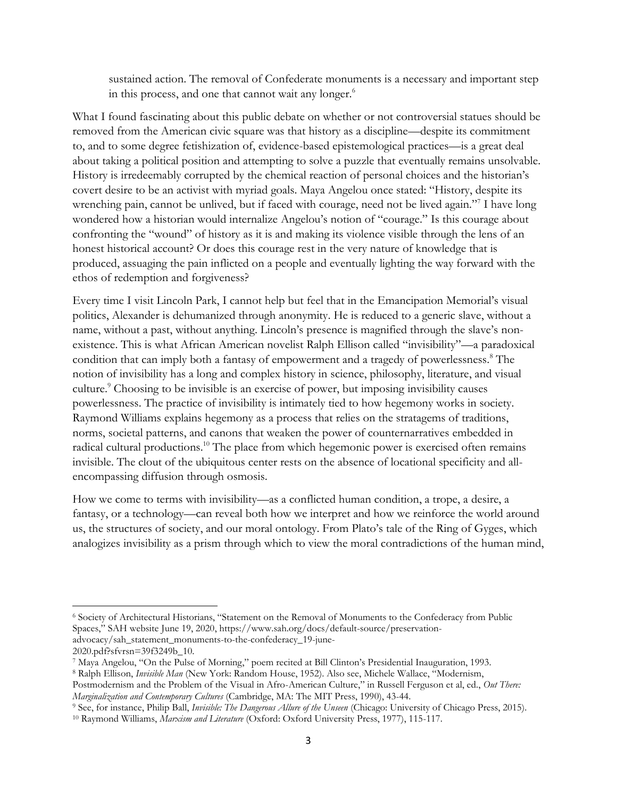sustained action. The removal of Confederate monuments is a necessary and important step in this process, and one that cannot wait any longer.<sup>6</sup>

What I found fascinating about this public debate on whether or not controversial statues should be removed from the American civic square was that history as a discipline—despite its commitment to, and to some degree fetishization of, evidence-based epistemological practices—is a great deal about taking a political position and attempting to solve a puzzle that eventually remains unsolvable. History is irredeemably corrupted by the chemical reaction of personal choices and the historian's covert desire to be an activist with myriad goals. Maya Angelou once stated: "History, despite its wrenching pain, cannot be unlived, but if faced with courage, need not be lived again."<sup>7</sup> I have long wondered how a historian would internalize Angelou's notion of "courage." Is this courage about confronting the "wound" of history as it is and making its violence visible through the lens of an honest historical account? Or does this courage rest in the very nature of knowledge that is produced, assuaging the pain inflicted on a people and eventually lighting the way forward with the ethos of redemption and forgiveness?

Every time I visit Lincoln Park, I cannot help but feel that in the Emancipation Memorial's visual politics, Alexander is dehumanized through anonymity. He is reduced to a generic slave, without a name, without a past, without anything. Lincoln's presence is magnified through the slave's nonexistence. This is what African American novelist Ralph Ellison called "invisibility"—a paradoxical condition that can imply both a fantasy of empowerment and a tragedy of powerlessness.<sup>8</sup> The notion of invisibility has a long and complex history in science, philosophy, literature, and visual culture.<sup>9</sup> Choosing to be invisible is an exercise of power, but imposing invisibility causes powerlessness. The practice of invisibility is intimately tied to how hegemony works in society. Raymond Williams explains hegemony as a process that relies on the stratagems of traditions, norms, societal patterns, and canons that weaken the power of counternarratives embedded in radical cultural productions.<sup>10</sup> The place from which hegemonic power is exercised often remains invisible. The clout of the ubiquitous center rests on the absence of locational specificity and allencompassing diffusion through osmosis.

How we come to terms with invisibility—as a conflicted human condition, a trope, a desire, a fantasy, or a technology—can reveal both how we interpret and how we reinforce the world around us, the structures of society, and our moral ontology. From Plato's tale of the Ring of Gyges, which analogizes invisibility as a prism through which to view the moral contradictions of the human mind,

<sup>6</sup> Society of Architectural Historians, "Statement on the Removal of Monuments to the Confederacy from Public Spaces," SAH website June 19, 2020, https://www.sah.org/docs/default-source/preservationadvocacy/sah\_statement\_monuments-to-the-confederacy\_19-june-

<sup>2020.</sup>pdf?sfvrsn=39f3249b\_10.

<sup>7</sup> Maya Angelou, "On the Pulse of Morning," poem recited at Bill Clinton's Presidential Inauguration, 1993.

<sup>8</sup> Ralph Ellison, *Invisible Man* (New York: Random House, 1952). Also see, Michele Wallace, "Modernism,

Postmodernism and the Problem of the Visual in Afro-American Culture," in Russell Ferguson et al, ed., *Out There: Marginalization and Contemporary Cultures* (Cambridge, MA: The MIT Press, 1990), 43-44.

<sup>9</sup> See, for instance, Philip Ball, *Invisible: The Dangerous Allure of the Unseen* (Chicago: University of Chicago Press, 2015).

<sup>10</sup> Raymond Williams, *Marxism and Literature* (Oxford: Oxford University Press, 1977), 115-117.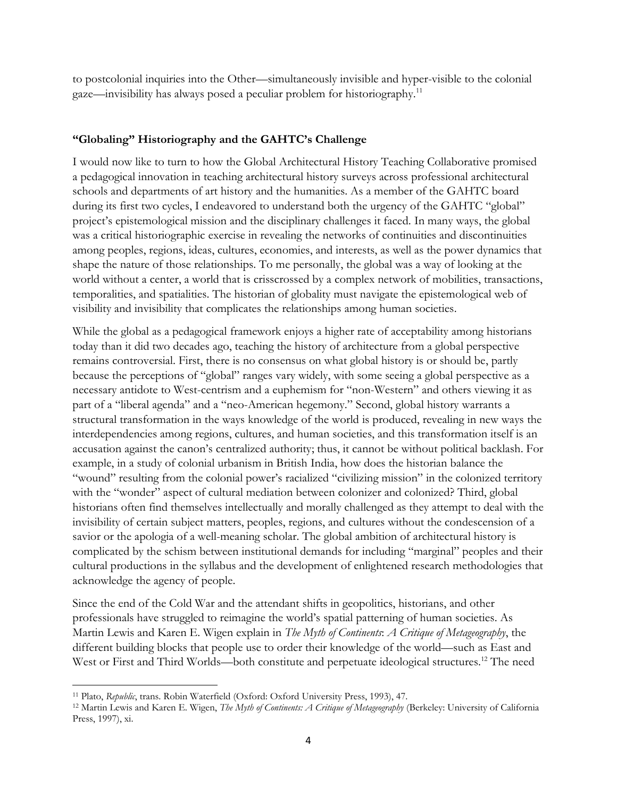to postcolonial inquiries into the Other—simultaneously invisible and hyper-visible to the colonial gaze—invisibility has always posed a peculiar problem for historiography.<sup>11</sup>

## **"Globaling" Historiography and the GAHTC's Challenge**

I would now like to turn to how the Global Architectural History Teaching Collaborative promised a pedagogical innovation in teaching architectural history surveys across professional architectural schools and departments of art history and the humanities. As a member of the GAHTC board during its first two cycles, I endeavored to understand both the urgency of the GAHTC "global" project's epistemological mission and the disciplinary challenges it faced. In many ways, the global was a critical historiographic exercise in revealing the networks of continuities and discontinuities among peoples, regions, ideas, cultures, economies, and interests, as well as the power dynamics that shape the nature of those relationships. To me personally, the global was a way of looking at the world without a center, a world that is crisscrossed by a complex network of mobilities, transactions, temporalities, and spatialities. The historian of globality must navigate the epistemological web of visibility and invisibility that complicates the relationships among human societies.

While the global as a pedagogical framework enjoys a higher rate of acceptability among historians today than it did two decades ago, teaching the history of architecture from a global perspective remains controversial. First, there is no consensus on what global history is or should be, partly because the perceptions of "global" ranges vary widely, with some seeing a global perspective as a necessary antidote to West-centrism and a euphemism for "non-Western" and others viewing it as part of a "liberal agenda" and a "neo-American hegemony." Second, global history warrants a structural transformation in the ways knowledge of the world is produced, revealing in new ways the interdependencies among regions, cultures, and human societies, and this transformation itself is an accusation against the canon's centralized authority; thus, it cannot be without political backlash. For example, in a study of colonial urbanism in British India, how does the historian balance the "wound" resulting from the colonial power's racialized "civilizing mission" in the colonized territory with the "wonder" aspect of cultural mediation between colonizer and colonized? Third, global historians often find themselves intellectually and morally challenged as they attempt to deal with the invisibility of certain subject matters, peoples, regions, and cultures without the condescension of a savior or the apologia of a well-meaning scholar. The global ambition of architectural history is complicated by the schism between institutional demands for including "marginal" peoples and their cultural productions in the syllabus and the development of enlightened research methodologies that acknowledge the agency of people.

Since the end of the Cold War and the attendant shifts in geopolitics, historians, and other professionals have struggled to reimagine the world's spatial patterning of human societies. As Martin Lewis and Karen E. Wigen explain in *The Myth of Continents*: *A Critique of Metageography*, the different building blocks that people use to order their knowledge of the world—such as East and West or First and Third Worlds—both constitute and perpetuate ideological structures.<sup>12</sup> The need

<sup>11</sup> Plato, *Republic*, trans. Robin Waterfield (Oxford: Oxford University Press, 1993), 47.

<sup>12</sup> Martin Lewis and Karen E. Wigen, *The Myth of Continents: A Critique of Metageography* (Berkeley: University of California Press, 1997), xi.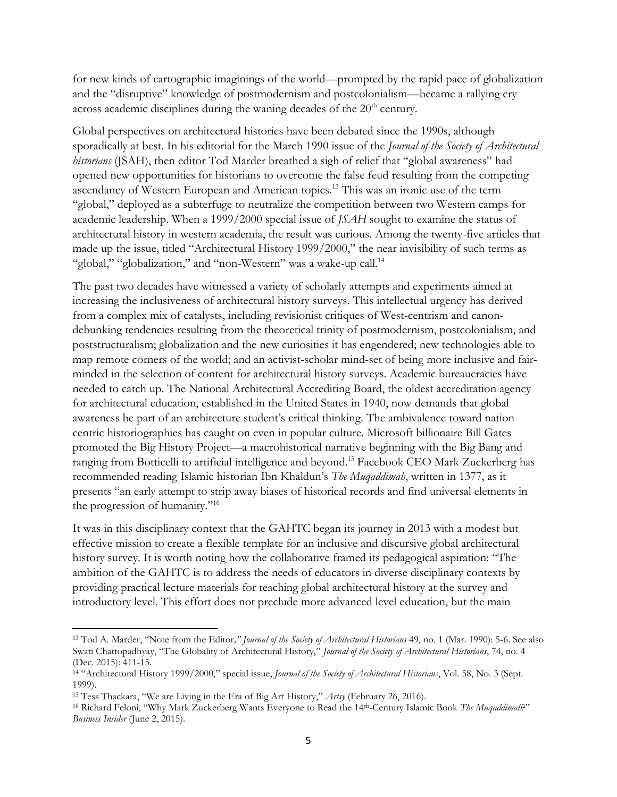for new kinds of cartographic imaginings of the world—prompted by the rapid pace of globalization and the "disruptive" knowledge of postmodernism and postcolonialism—became a rallying cry across academic disciplines during the waning decades of the  $20<sup>th</sup>$  century.

Global perspectives on architectural histories have been debated since the 1990s, although sporadically at best. In his editorial for the March 1990 issue of the *Journal of the Society of Architectural historians* (JSAH), then editor Tod Marder breathed a sigh of relief that "global awareness" had opened new opportunities for historians to overcome the false feud resulting from the competing ascendancy of Western European and American topics.<sup>13</sup> This was an ironic use of the term "global," deployed as a subterfuge to neutralize the competition between two Western camps for academic leadership. When a 1999/2000 special issue of *JSAH* sought to examine the status of architectural history in western academia, the result was curious. Among the twenty-five articles that made up the issue, titled "Architectural History 1999/2000," the near invisibility of such terms as "global," "globalization," and "non-Western" was a wake-up call.<sup>14</sup>

The past two decades have witnessed a variety of scholarly attempts and experiments aimed at increasing the inclusiveness of architectural history surveys. This intellectual urgency has derived from a complex mix of catalysts, including revisionist critiques of West-centrism and canondebunking tendencies resulting from the theoretical trinity of postmodernism, postcolonialism, and poststructuralism; globalization and the new curiosities it has engendered; new technologies able to map remote corners of the world; and an activist-scholar mind-set of being more inclusive and fairminded in the selection of content for architectural history surveys. Academic bureaucracies have needed to catch up. The National Architectural Accrediting Board, the oldest accreditation agency for architectural education, established in the United States in 1940, now demands that global awareness be part of an architecture student's critical thinking. The ambivalence toward nationcentric historiographies has caught on even in popular culture. Microsoft billionaire Bill Gates promoted the Big History Project—a macrohistorical narrative beginning with the Big Bang and ranging from Botticelli to artificial intelligence and beyond.<sup>15</sup> Facebook CEO Mark Zuckerberg has recommended reading Islamic historian Ibn Khaldun's *The Muqaddimah*, written in 1377, as it presents "an early attempt to strip away biases of historical records and find universal elements in the progression of humanity."<sup>16</sup>

It was in this disciplinary context that the GAHTC began its journey in 2013 with a modest but effective mission to create a flexible template for an inclusive and discursive global architectural history survey. It is worth noting how the collaborative framed its pedagogical aspiration: "The ambition of the GAHTC is to address the needs of educators in diverse disciplinary contexts by providing practical lecture materials for teaching global architectural history at the survey and introductory level. This effort does not preclude more advanced level education, but the main

<sup>13</sup> Tod A. Marder, "Note from the Editor*," Journal of the Society of Architectural Historians* 49, no. 1 (Mar. 1990): 5-6. See also Swati Chattopadhyay, "The Globality of Architectural History," *Journal of the Society of Architectural Historians*, 74, no. 4 (Dec. 2015): 411-15.

<sup>14</sup> "Architectural History 1999/2000," special issue, *Journal of the Society of Architectural Historians*, Vol. 58, No. 3 (Sept. 1999).

<sup>15</sup> Tess Thackara, "We are Living in the Era of Big Art History," *Artsy* (February 26, 2016).

<sup>&</sup>lt;sup>16</sup> Richard Feloni, "Why Mark Zuckerberg Wants Everyone to Read the 14<sup>th</sup>-Century Islamic Book The Muqaddimah?" *Business Insider* (June 2, 2015).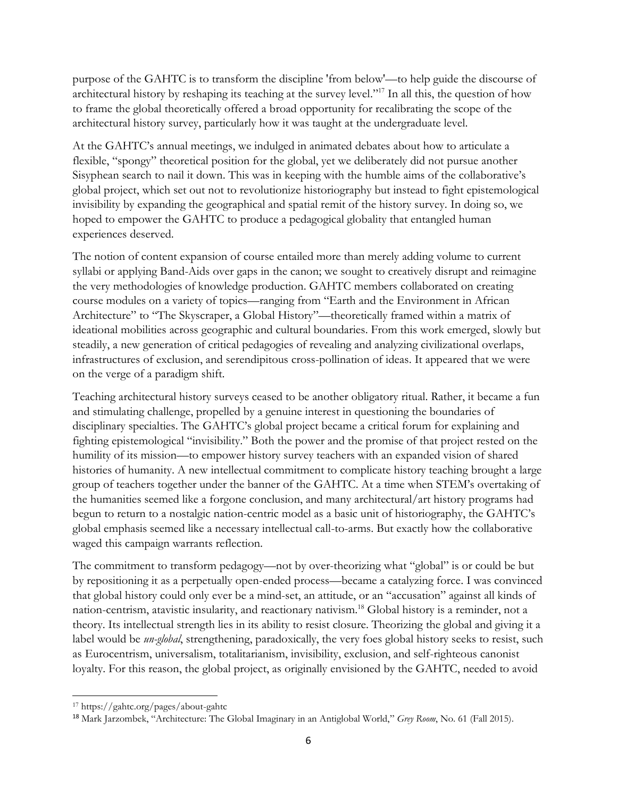purpose of the GAHTC is to transform the discipline 'from below'—to help guide the discourse of architectural history by reshaping its teaching at the survey level."<sup>17</sup> In all this, the question of how to frame the global theoretically offered a broad opportunity for recalibrating the scope of the architectural history survey, particularly how it was taught at the undergraduate level.

At the GAHTC's annual meetings, we indulged in animated debates about how to articulate a flexible, "spongy" theoretical position for the global, yet we deliberately did not pursue another Sisyphean search to nail it down. This was in keeping with the humble aims of the collaborative's global project, which set out not to revolutionize historiography but instead to fight epistemological invisibility by expanding the geographical and spatial remit of the history survey. In doing so, we hoped to empower the GAHTC to produce a pedagogical globality that entangled human experiences deserved.

The notion of content expansion of course entailed more than merely adding volume to current syllabi or applying Band-Aids over gaps in the canon; we sought to creatively disrupt and reimagine the very methodologies of knowledge production. GAHTC members collaborated on creating course modules on a variety of topics—ranging from "Earth and the Environment in African Architecture" to "The Skyscraper, a Global History"—theoretically framed within a matrix of ideational mobilities across geographic and cultural boundaries. From this work emerged, slowly but steadily, a new generation of critical pedagogies of revealing and analyzing civilizational overlaps, infrastructures of exclusion, and serendipitous cross-pollination of ideas. It appeared that we were on the verge of a paradigm shift.

Teaching architectural history surveys ceased to be another obligatory ritual. Rather, it became a fun and stimulating challenge, propelled by a genuine interest in questioning the boundaries of disciplinary specialties. The GAHTC's global project became a critical forum for explaining and fighting epistemological "invisibility." Both the power and the promise of that project rested on the humility of its mission—to empower history survey teachers with an expanded vision of shared histories of humanity. A new intellectual commitment to complicate history teaching brought a large group of teachers together under the banner of the GAHTC. At a time when STEM's overtaking of the humanities seemed like a forgone conclusion, and many architectural/art history programs had begun to return to a nostalgic nation-centric model as a basic unit of historiography, the GAHTC's global emphasis seemed like a necessary intellectual call-to-arms. But exactly how the collaborative waged this campaign warrants reflection.

The commitment to transform pedagogy—not by over-theorizing what "global" is or could be but by repositioning it as a perpetually open-ended process—became a catalyzing force. I was convinced that global history could only ever be a mind-set, an attitude, or an "accusation" against all kinds of nation-centrism, atavistic insularity, and reactionary nativism.<sup>18</sup> Global history is a reminder, not a theory. Its intellectual strength lies in its ability to resist closure. Theorizing the global and giving it a label would be *un-global*, strengthening, paradoxically, the very foes global history seeks to resist, such as Eurocentrism, universalism, totalitarianism, invisibility, exclusion, and self-righteous canonist loyalty. For this reason, the global project, as originally envisioned by the GAHTC, needed to avoid

<sup>17</sup> https://gahtc.org/pages/about-gahtc

<sup>18</sup> Mark Jarzombek, "Architecture: The Global Imaginary in an Antiglobal World," *Grey Room*, No. 61 (Fall 2015).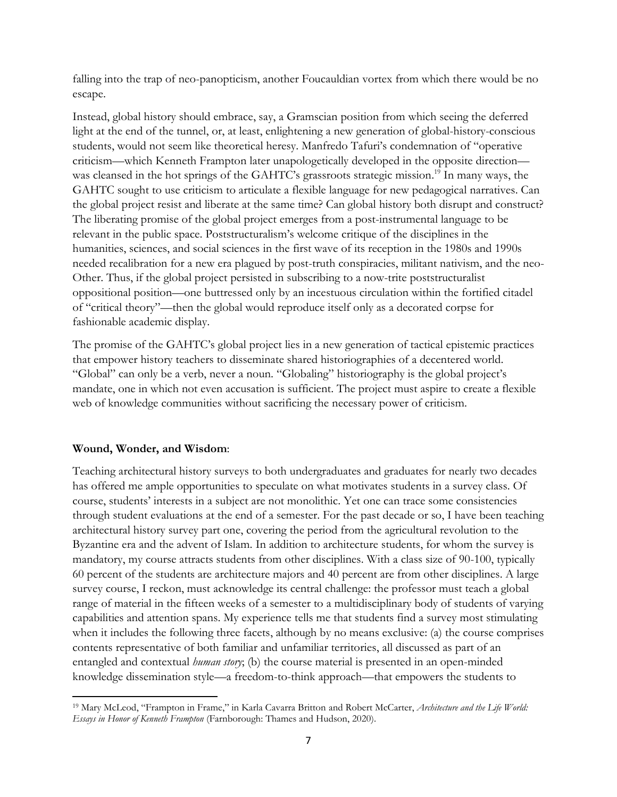falling into the trap of neo-panopticism, another Foucauldian vortex from which there would be no escape.

Instead, global history should embrace, say, a Gramscian position from which seeing the deferred light at the end of the tunnel, or, at least, enlightening a new generation of global-history-conscious students, would not seem like theoretical heresy. Manfredo Tafuri's condemnation of "operative criticism—which Kenneth Frampton later unapologetically developed in the opposite direction was cleansed in the hot springs of the GAHTC's grassroots strategic mission. <sup>19</sup> In many ways, the GAHTC sought to use criticism to articulate a flexible language for new pedagogical narratives. Can the global project resist and liberate at the same time? Can global history both disrupt and construct? The liberating promise of the global project emerges from a post-instrumental language to be relevant in the public space. Poststructuralism's welcome critique of the disciplines in the humanities, sciences, and social sciences in the first wave of its reception in the 1980s and 1990s needed recalibration for a new era plagued by post-truth conspiracies, militant nativism, and the neo-Other. Thus, if the global project persisted in subscribing to a now-trite poststructuralist oppositional position—one buttressed only by an incestuous circulation within the fortified citadel of "critical theory"—then the global would reproduce itself only as a decorated corpse for fashionable academic display.

The promise of the GAHTC's global project lies in a new generation of tactical epistemic practices that empower history teachers to disseminate shared historiographies of a decentered world. "Global" can only be a verb, never a noun. "Globaling" historiography is the global project's mandate, one in which not even accusation is sufficient. The project must aspire to create a flexible web of knowledge communities without sacrificing the necessary power of criticism.

## **Wound, Wonder, and Wisdom**:

Teaching architectural history surveys to both undergraduates and graduates for nearly two decades has offered me ample opportunities to speculate on what motivates students in a survey class. Of course, students' interests in a subject are not monolithic. Yet one can trace some consistencies through student evaluations at the end of a semester. For the past decade or so, I have been teaching architectural history survey part one, covering the period from the agricultural revolution to the Byzantine era and the advent of Islam. In addition to architecture students, for whom the survey is mandatory, my course attracts students from other disciplines. With a class size of 90-100, typically 60 percent of the students are architecture majors and 40 percent are from other disciplines. A large survey course, I reckon, must acknowledge its central challenge: the professor must teach a global range of material in the fifteen weeks of a semester to a multidisciplinary body of students of varying capabilities and attention spans. My experience tells me that students find a survey most stimulating when it includes the following three facets, although by no means exclusive: (a) the course comprises contents representative of both familiar and unfamiliar territories, all discussed as part of an entangled and contextual *human story*; (b) the course material is presented in an open-minded knowledge dissemination style—a freedom-to-think approach—that empowers the students to

<sup>19</sup> Mary McLeod, "Frampton in Frame," in Karla Cavarra Britton and Robert McCarter, *Architecture and the Life World: Essays in Honor of Kenneth Frampton* (Farnborough: Thames and Hudson, 2020).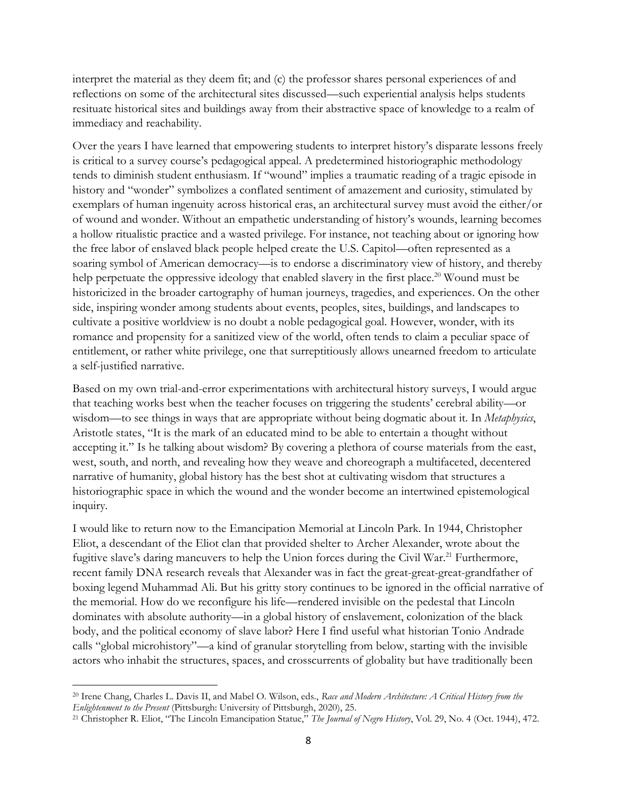interpret the material as they deem fit; and (c) the professor shares personal experiences of and reflections on some of the architectural sites discussed—such experiential analysis helps students resituate historical sites and buildings away from their abstractive space of knowledge to a realm of immediacy and reachability.

Over the years I have learned that empowering students to interpret history's disparate lessons freely is critical to a survey course's pedagogical appeal. A predetermined historiographic methodology tends to diminish student enthusiasm. If "wound" implies a traumatic reading of a tragic episode in history and "wonder" symbolizes a conflated sentiment of amazement and curiosity, stimulated by exemplars of human ingenuity across historical eras, an architectural survey must avoid the either/or of wound and wonder. Without an empathetic understanding of history's wounds, learning becomes a hollow ritualistic practice and a wasted privilege. For instance, not teaching about or ignoring how the free labor of enslaved black people helped create the U.S. Capitol—often represented as a soaring symbol of American democracy—is to endorse a discriminatory view of history, and thereby help perpetuate the oppressive ideology that enabled slavery in the first place.<sup>20</sup> Wound must be historicized in the broader cartography of human journeys, tragedies, and experiences. On the other side, inspiring wonder among students about events, peoples, sites, buildings, and landscapes to cultivate a positive worldview is no doubt a noble pedagogical goal. However, wonder, with its romance and propensity for a sanitized view of the world, often tends to claim a peculiar space of entitlement, or rather white privilege, one that surreptitiously allows unearned freedom to articulate a self-justified narrative.

Based on my own trial-and-error experimentations with architectural history surveys, I would argue that teaching works best when the teacher focuses on triggering the students' cerebral ability—or wisdom—to see things in ways that are appropriate without being dogmatic about it. In *Metaphysics*, Aristotle states, "It is the mark of an educated mind to be able to entertain a thought without accepting it." Is he talking about wisdom? By covering a plethora of course materials from the east, west, south, and north, and revealing how they weave and choreograph a multifaceted, decentered narrative of humanity, global history has the best shot at cultivating wisdom that structures a historiographic space in which the wound and the wonder become an intertwined epistemological inquiry.

I would like to return now to the Emancipation Memorial at Lincoln Park. In 1944, Christopher Eliot, a descendant of the Eliot clan that provided shelter to Archer Alexander, wrote about the fugitive slave's daring maneuvers to help the Union forces during the Civil War.<sup>21</sup> Furthermore, recent family DNA research reveals that Alexander was in fact the great-great-great-grandfather of boxing legend Muhammad Ali. But his gritty story continues to be ignored in the official narrative of the memorial. How do we reconfigure his life—rendered invisible on the pedestal that Lincoln dominates with absolute authority—in a global history of enslavement, colonization of the black body, and the political economy of slave labor? Here I find useful what historian Tonio Andrade calls "global microhistory"—a kind of granular storytelling from below, starting with the invisible actors who inhabit the structures, spaces, and crosscurrents of globality but have traditionally been

<sup>20</sup> Irene Chang, Charles L. Davis II, and Mabel O. Wilson, eds., *Race and Modern Architecture: A Critical History from the Enlightenment to the Present* (Pittsburgh: University of Pittsburgh, 2020), 25.

<sup>21</sup> Christopher R. Eliot, "The Lincoln Emancipation Statue," *The Journal of Negro History*, Vol. 29, No. 4 (Oct. 1944), 472.